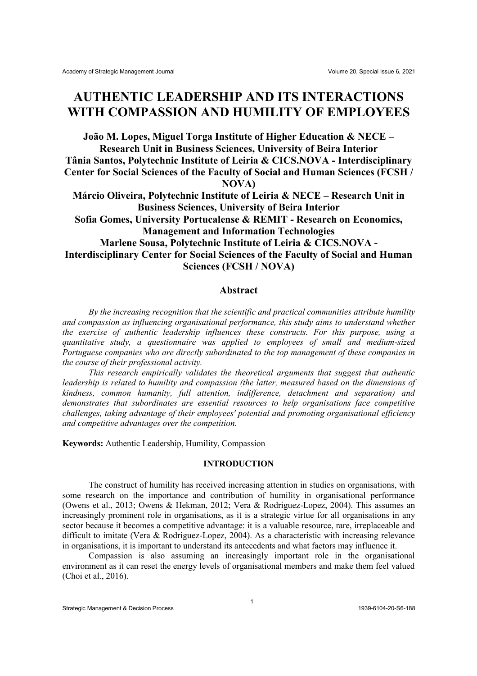## **AUTHENTIC LEADERSHIP AND ITS INTERACTIONS WITH COMPASSION AND HUMILITY OF EMPLOYEES**

**João M. Lopes, Miguel Torga Institute of Higher Education & NECE – Research Unit in Business Sciences, University of Beira Interior Tânia Santos, Polytechnic Institute of Leiria & CICS.NOVA - Interdisciplinary Center for Social Sciences of the Faculty of Social and Human Sciences (FCSH / NOVA)**

**Márcio Oliveira, Polytechnic Institute of Leiria & NECE – Research Unit in Business Sciences, University of Beira Interior**

**Sofia Gomes, University Portucalense & REMIT - Research on Economics, Management and Information Technologies**

**Marlene Sousa, Polytechnic Institute of Leiria & CICS.NOVA - Interdisciplinary Center for Social Sciences of the Faculty of Social and Human Sciences (FCSH / NOVA)**

## **Abstract**

*By the increasing recognition that the scientific and practical communities attribute humility and compassion as influencing organisational performance, this study aims to understand whether the exercise of authentic leadership influences these constructs. For this purpose, using a quantitative study, a questionnaire was applied to employees of small and medium-sized Portuguese companies who are directly subordinated to the top management of these companies in the course of their professional activity.* 

*This research empirically validates the theoretical arguments that suggest that authentic leadership is related to humility and compassion (the latter, measured based on the dimensions of kindness, common humanity, full attention, indifference, detachment and separation) and demonstrates that subordinates are essential resources to help organisations face competitive challenges, taking advantage of their employees' potential and promoting organisational efficiency and competitive advantages over the competition.*

**Keywords:** Authentic Leadership, Humility, Compassion

## **INTRODUCTION**

The construct of humility has received increasing attention in studies on organisations, with some research on the importance and contribution of humility in organisational performance (Owens et al., 2013; Owens & Hekman, 2012; Vera & Rodriguez-Lopez, 2004). This assumes an increasingly prominent role in organisations, as it is a strategic virtue for all organisations in any sector because it becomes a competitive advantage: it is a valuable resource, rare, irreplaceable and difficult to imitate (Vera & Rodriguez-Lopez, 2004). As a characteristic with increasing relevance in organisations, it is important to understand its antecedents and what factors may influence it.

Compassion is also assuming an increasingly important role in the organisational environment as it can reset the energy levels of organisational members and make them feel valued (Choi et al., 2016).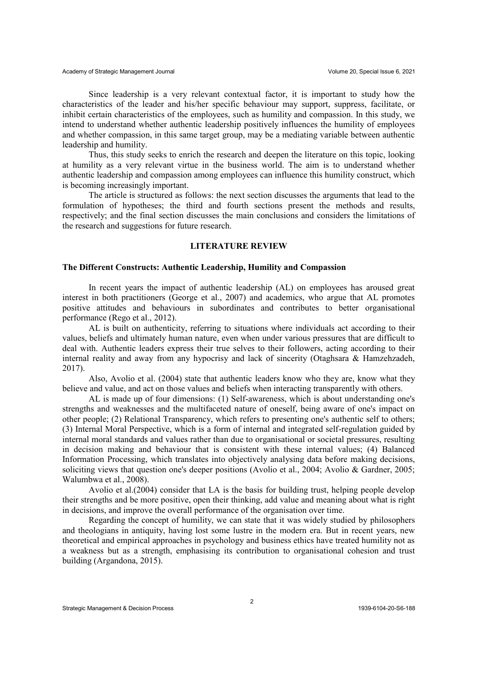Since leadership is a very relevant contextual factor, it is important to study how the characteristics of the leader and his/her specific behaviour may support, suppress, facilitate, or inhibit certain characteristics of the employees, such as humility and compassion. In this study, we intend to understand whether authentic leadership positively influences the humility of employees and whether compassion, in this same target group, may be a mediating variable between authentic leadership and humility.

Thus, this study seeks to enrich the research and deepen the literature on this topic, looking at humility as a very relevant virtue in the business world. The aim is to understand whether authentic leadership and compassion among employees can influence this humility construct, which is becoming increasingly important.

The article is structured as follows: the next section discusses the arguments that lead to the formulation of hypotheses; the third and fourth sections present the methods and results, respectively; and the final section discusses the main conclusions and considers the limitations of the research and suggestions for future research.

### **LITERATURE REVIEW**

## **The Different Constructs: Authentic Leadership, Humility and Compassion**

In recent years the impact of authentic leadership (AL) on employees has aroused great interest in both practitioners (George et al., 2007) and academics, who argue that AL promotes positive attitudes and behaviours in subordinates and contributes to better organisational performance (Rego et al., 2012).

AL is built on authenticity, referring to situations where individuals act according to their values, beliefs and ultimately human nature, even when under various pressures that are difficult to deal with. Authentic leaders express their true selves to their followers, acting according to their internal reality and away from any hypocrisy and lack of sincerity (Otaghsara & Hamzehzadeh, 2017).

Also, Avolio et al. (2004) state that authentic leaders know who they are, know what they believe and value, and act on those values and beliefs when interacting transparently with others.

AL is made up of four dimensions: (1) Self-awareness, which is about understanding one's strengths and weaknesses and the multifaceted nature of oneself, being aware of one's impact on other people; (2) Relational Transparency, which refers to presenting one's authentic self to others; (3) Internal Moral Perspective, which is a form of internal and integrated self-regulation guided by internal moral standards and values rather than due to organisational or societal pressures, resulting in decision making and behaviour that is consistent with these internal values; (4) Balanced Information Processing, which translates into objectively analysing data before making decisions, soliciting views that question one's deeper positions (Avolio et al., 2004; Avolio & Gardner, 2005; Walumbwa et al., 2008).

Avolio et al.(2004) consider that LA is the basis for building trust, helping people develop their strengths and be more positive, open their thinking, add value and meaning about what is right in decisions, and improve the overall performance of the organisation over time.

Regarding the concept of humility, we can state that it was widely studied by philosophers and theologians in antiquity, having lost some lustre in the modern era. But in recent years, new theoretical and empirical approaches in psychology and business ethics have treated humility not as a weakness but as a strength, emphasising its contribution to organisational cohesion and trust building (Argandona, 2015).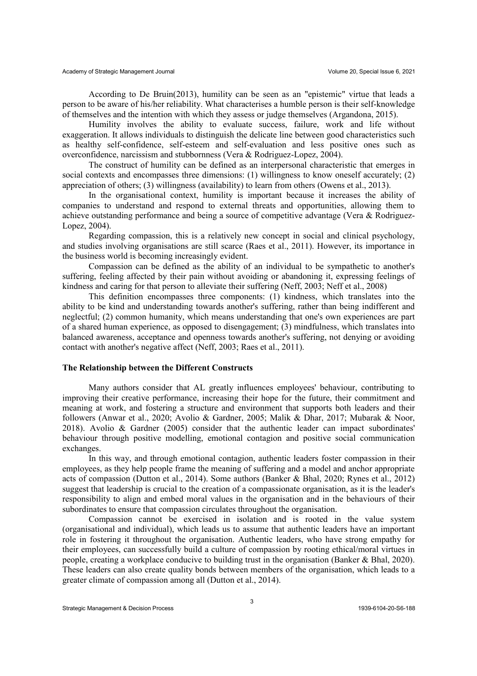According to De Bruin(2013), humility can be seen as an "epistemic" virtue that leads a person to be aware of his/her reliability. What characterises a humble person is their self-knowledge of themselves and the intention with which they assess or judge themselves (Argandona, 2015).

Humility involves the ability to evaluate success, failure, work and life without exaggeration. It allows individuals to distinguish the delicate line between good characteristics such as healthy self-confidence, self-esteem and self-evaluation and less positive ones such as overconfidence, narcissism and stubbornness (Vera & Rodriguez-Lopez, 2004).

The construct of humility can be defined as an interpersonal characteristic that emerges in social contexts and encompasses three dimensions: (1) willingness to know oneself accurately; (2) appreciation of others; (3) willingness (availability) to learn from others (Owens et al., 2013).

In the organisational context, humility is important because it increases the ability of companies to understand and respond to external threats and opportunities, allowing them to achieve outstanding performance and being a source of competitive advantage (Vera & Rodriguez-Lopez, 2004).

Regarding compassion, this is a relatively new concept in social and clinical psychology, and studies involving organisations are still scarce (Raes et al., 2011). However, its importance in the business world is becoming increasingly evident.

Compassion can be defined as the ability of an individual to be sympathetic to another's suffering, feeling affected by their pain without avoiding or abandoning it, expressing feelings of kindness and caring for that person to alleviate their suffering (Neff, 2003; Neff et al., 2008)

This definition encompasses three components: (1) kindness, which translates into the ability to be kind and understanding towards another's suffering, rather than being indifferent and neglectful; (2) common humanity, which means understanding that one's own experiences are part of a shared human experience, as opposed to disengagement; (3) mindfulness, which translates into balanced awareness, acceptance and openness towards another's suffering, not denying or avoiding contact with another's negative affect (Neff, 2003; Raes et al., 2011).

#### **The Relationship between the Different Constructs**

Many authors consider that AL greatly influences employees' behaviour, contributing to improving their creative performance, increasing their hope for the future, their commitment and meaning at work, and fostering a structure and environment that supports both leaders and their followers (Anwar et al., 2020; Avolio & Gardner, 2005; Malik & Dhar, 2017; Mubarak & Noor, 2018). Avolio & Gardner (2005) consider that the authentic leader can impact subordinates' behaviour through positive modelling, emotional contagion and positive social communication exchanges.

In this way, and through emotional contagion, authentic leaders foster compassion in their employees, as they help people frame the meaning of suffering and a model and anchor appropriate acts of compassion (Dutton et al., 2014). Some authors (Banker & Bhal, 2020; Rynes et al., 2012) suggest that leadership is crucial to the creation of a compassionate organisation, as it is the leader's responsibility to align and embed moral values in the organisation and in the behaviours of their subordinates to ensure that compassion circulates throughout the organisation.

Compassion cannot be exercised in isolation and is rooted in the value system (organisational and individual), which leads us to assume that authentic leaders have an important role in fostering it throughout the organisation. Authentic leaders, who have strong empathy for their employees, can successfully build a culture of compassion by rooting ethical/moral virtues in people, creating a workplace conducive to building trust in the organisation (Banker & Bhal, 2020). These leaders can also create quality bonds between members of the organisation, which leads to a greater climate of compassion among all (Dutton et al., 2014).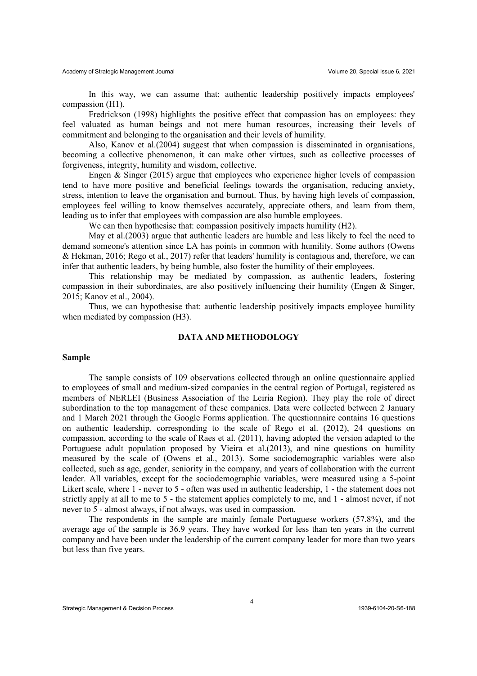In this way, we can assume that: authentic leadership positively impacts employees' compassion (H1).

Fredrickson (1998) highlights the positive effect that compassion has on employees: they feel valuated as human beings and not mere human resources, increasing their levels of commitment and belonging to the organisation and their levels of humility.

Also, Kanov et al.(2004) suggest that when compassion is disseminated in organisations, becoming a collective phenomenon, it can make other virtues, such as collective processes of forgiveness, integrity, humility and wisdom, collective.

Engen & Singer (2015) argue that employees who experience higher levels of compassion tend to have more positive and beneficial feelings towards the organisation, reducing anxiety, stress, intention to leave the organisation and burnout. Thus, by having high levels of compassion, employees feel willing to know themselves accurately, appreciate others, and learn from them, leading us to infer that employees with compassion are also humble employees.

We can then hypothesise that: compassion positively impacts humility (H2).

May et al.(2003) argue that authentic leaders are humble and less likely to feel the need to demand someone's attention since LA has points in common with humility. Some authors (Owens & Hekman, 2016; Rego et al., 2017) refer that leaders' humility is contagious and, therefore, we can infer that authentic leaders, by being humble, also foster the humility of their employees.

This relationship may be mediated by compassion, as authentic leaders, fostering compassion in their subordinates, are also positively influencing their humility (Engen  $\&$  Singer, 2015; Kanov et al., 2004).

Thus, we can hypothesise that: authentic leadership positively impacts employee humility when mediated by compassion (H3).

#### **DATA AND METHODOLOGY**

#### **Sample**

The sample consists of 109 observations collected through an online questionnaire applied to employees of small and medium-sized companies in the central region of Portugal, registered as members of NERLEI (Business Association of the Leiria Region). They play the role of direct subordination to the top management of these companies. Data were collected between 2 January and 1 March 2021 through the Google Forms application. The questionnaire contains 16 questions on authentic leadership, corresponding to the scale of Rego et al. (2012), 24 questions on compassion, according to the scale of Raes et al. (2011), having adopted the version adapted to the Portuguese adult population proposed by Vieira et al.(2013), and nine questions on humility measured by the scale of (Owens et al., 2013). Some sociodemographic variables were also collected, such as age, gender, seniority in the company, and years of collaboration with the current leader. All variables, except for the sociodemographic variables, were measured using a 5-point Likert scale, where 1 - never to 5 - often was used in authentic leadership, 1 - the statement does not strictly apply at all to me to 5 - the statement applies completely to me, and 1 - almost never, if not never to 5 - almost always, if not always, was used in compassion.

The respondents in the sample are mainly female Portuguese workers (57.8%), and the average age of the sample is 36.9 years. They have worked for less than ten years in the current company and have been under the leadership of the current company leader for more than two years but less than five years.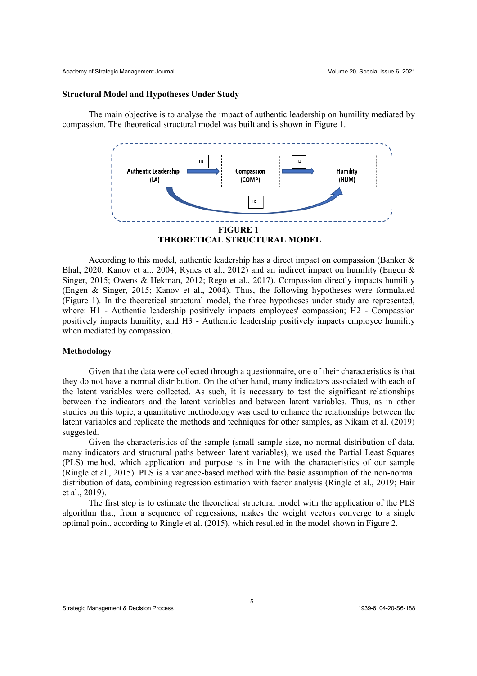#### **Structural Model and Hypotheses Under Study**

The main objective is to analyse the impact of authentic leadership on humility mediated by compassion. The theoretical structural model was built and is shown in Figure 1.



According to this model, authentic leadership has a direct impact on compassion (Banker & Bhal, 2020; Kanov et al., 2004; Rynes et al., 2012) and an indirect impact on humility (Engen & Singer, 2015; Owens & Hekman, 2012; Rego et al., 2017). Compassion directly impacts humility (Engen & Singer, 2015; Kanov et al., 2004). Thus, the following hypotheses were formulated (Figure 1). In the theoretical structural model, the three hypotheses under study are represented, where: H1 - Authentic leadership positively impacts employees' compassion; H2 - Compassion positively impacts humility; and H3 - Authentic leadership positively impacts employee humility when mediated by compassion.

#### **Methodology**

Given that the data were collected through a questionnaire, one of their characteristics is that they do not have a normal distribution. On the other hand, many indicators associated with each of the latent variables were collected. As such, it is necessary to test the significant relationships between the indicators and the latent variables and between latent variables. Thus, as in other studies on this topic, a quantitative methodology was used to enhance the relationships between the latent variables and replicate the methods and techniques for other samples, as Nikam et al. (2019) suggested.

Given the characteristics of the sample (small sample size, no normal distribution of data, many indicators and structural paths between latent variables), we used the Partial Least Squares (PLS) method, which application and purpose is in line with the characteristics of our sample (Ringle et al., 2015). PLS is a variance-based method with the basic assumption of the non-normal distribution of data, combining regression estimation with factor analysis (Ringle et al., 2019; Hair et al., 2019).

The first step is to estimate the theoretical structural model with the application of the PLS algorithm that, from a sequence of regressions, makes the weight vectors converge to a single optimal point, according to Ringle et al. (2015), which resulted in the model shown in Figure 2.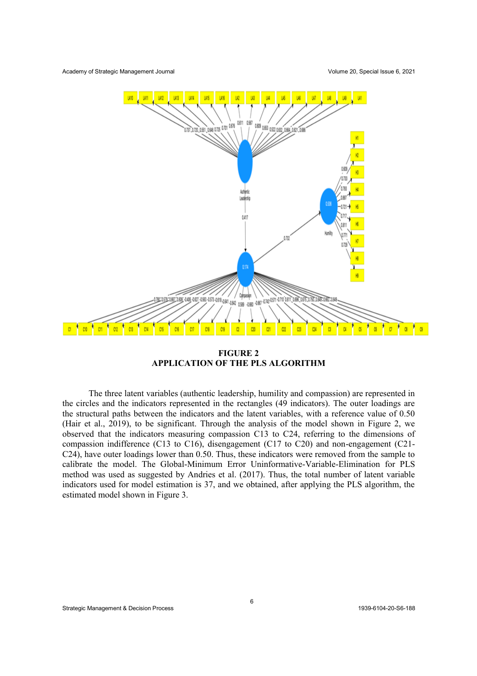

**FIGURE 2 APPLICATION OF THE PLS ALGORITHM**

The three latent variables (authentic leadership, humility and compassion) are represented in the circles and the indicators represented in the rectangles (49 indicators). The outer loadings are the structural paths between the indicators and the latent variables, with a reference value of 0.50 (Hair et al., 2019), to be significant. Through the analysis of the model shown in Figure 2, we observed that the indicators measuring compassion C13 to C24, referring to the dimensions of compassion indifference (C13 to C16), disengagement (C17 to C20) and non-engagement (C21- C24), have outer loadings lower than 0.50. Thus, these indicators were removed from the sample to calibrate the model. The Global-Minimum Error Uninformative-Variable-Elimination for PLS method was used as suggested by Andries et al. (2017). Thus, the total number of latent variable indicators used for model estimation is 37, and we obtained, after applying the PLS algorithm, the estimated model shown in Figure 3.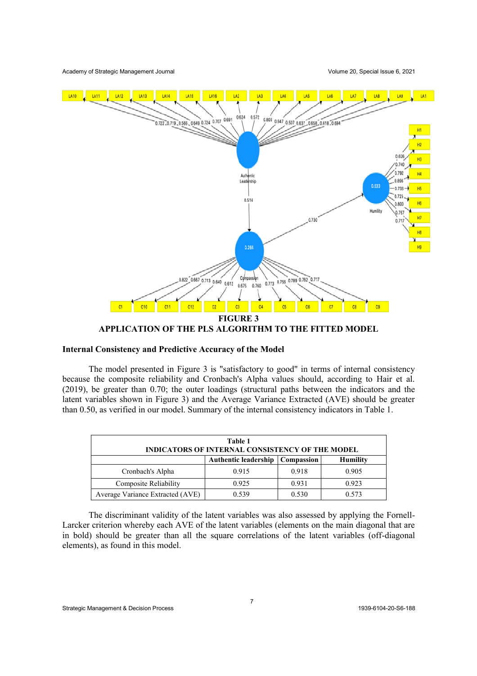

# **Internal Consistency and Predictive Accuracy of the Model**

The model presented in Figure 3 is "satisfactory to good" in terms of internal consistency because the composite reliability and Cronbach's Alpha values should, according to Hair et al. (2019), be greater than 0.70; the outer loadings (structural paths between the indicators and the latent variables shown in Figure 3) and the Average Variance Extracted (AVE) should be greater than 0.50, as verified in our model. Summary of the internal consistency indicators in Table 1.

| Table 1<br><b>INDICATORS OF INTERNAL CONSISTENCY OF THE MODEL</b> |                             |                   |                 |  |  |  |  |
|-------------------------------------------------------------------|-----------------------------|-------------------|-----------------|--|--|--|--|
|                                                                   | <b>Authentic leadership</b> | <b>Compassion</b> | <b>Humility</b> |  |  |  |  |
| Cronbach's Alpha                                                  | 0.915                       | 0.918             | 0.905           |  |  |  |  |
| Composite Reliability                                             | 0.925                       | 0.931             | 0.923           |  |  |  |  |
| Average Variance Extracted (AVE)                                  | 0.539                       | 0.530             | 0.573           |  |  |  |  |

The discriminant validity of the latent variables was also assessed by applying the Fornell-Larcker criterion whereby each AVE of the latent variables (elements on the main diagonal that are in bold) should be greater than all the square correlations of the latent variables (off-diagonal elements), as found in this model.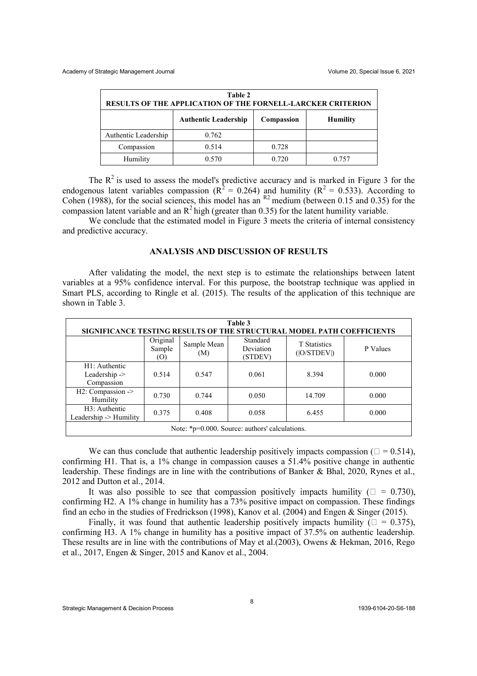| Table 2<br>RESULTS OF THE APPLICATION OF THE FORNELL-LARCKER CRITERION |       |            |                 |  |  |  |  |
|------------------------------------------------------------------------|-------|------------|-----------------|--|--|--|--|
| <b>Authentic Leadership</b>                                            |       | Compassion | <b>Humility</b> |  |  |  |  |
| Authentic Leadership                                                   | 0.762 |            |                 |  |  |  |  |
| Compassion                                                             | 0.514 | 0.728      |                 |  |  |  |  |
| Humility                                                               | 0.570 | 0.720      | 0.757           |  |  |  |  |

The  $R^2$  is used to assess the model's predictive accuracy and is marked in Figure 3 for the endogenous latent variables compassion ( $R^2 = 0.264$ ) and humility ( $R^2 = 0.533$ ). According to Cohen (1988), for the social sciences, this model has an  $R^2$  medium (between 0.15 and 0.35) for the compassion latent variable and an  $R^2$  high (greater than 0.35) for the latent humility variable.

We conclude that the estimated model in Figure 3 meets the criteria of internal consistency and predictive accuracy.

## **ANALYSIS AND DISCUSSION OF RESULTS**

After validating the model, the next step is to estimate the relationships between latent variables at a 95% confidence interval. For this purpose, the bootstrap technique was applied in Smart PLS, according to Ringle et al. (2015). The results of the application of this technique are shown in Table 3.

| Table 3<br>SIGNIFICANCE TESTING RESULTS OF THE STRUCTURAL MODEL PATH COEFFICIENTS |                           |                    |                                  |                                    |          |  |  |  |
|-----------------------------------------------------------------------------------|---------------------------|--------------------|----------------------------------|------------------------------------|----------|--|--|--|
|                                                                                   | Original<br>Sample<br>(0) | Sample Mean<br>(M) | Standard<br>Deviation<br>(STDEV) | <b>T</b> Statistics<br>( O/STDEV ) | P Values |  |  |  |
| $H1:$ Authentic<br>Leadership $\rightarrow$<br>Compassion                         | 0.514                     | 0.547              | 0.061                            | 8.394                              | 0.000    |  |  |  |
| H2: Compassion -><br>Humility                                                     | 0.730                     | 0.744              | 0.050                            | 14.709                             | 0.000    |  |  |  |
| H3: Authentic<br>Leadership -> Humility                                           | 0.375                     | 0.408              | 0.058                            | 6.455                              | 0.000    |  |  |  |
| Note: *p=0.000. Source: authors' calculations.                                    |                           |                    |                                  |                                    |          |  |  |  |

We can thus conclude that authentic leadership positively impacts compassion ( $\square = 0.514$ ), confirming H1. That is, a 1% change in compassion causes a 51.4% positive change in authentic leadership. These findings are in line with the contributions of Banker & Bhal, 2020, Rynes et al., 2012 and Dutton et al., 2014.

It was also possible to see that compassion positively impacts humility ( $\square = 0.730$ ), confirming H2. A 1% change in humility has a 73% positive impact on compassion. These findings find an echo in the studies of Fredrickson (1998), Kanov et al. (2004) and Engen & Singer (2015).

Finally, it was found that authentic leadership positively impacts humility ( $\square = 0.375$ ), confirming H3. A 1% change in humility has a positive impact of 37.5% on authentic leadership. These results are in line with the contributions of May et al.(2003), Owens & Hekman, 2016, Rego et al., 2017, Engen & Singer, 2015 and Kanov et al., 2004.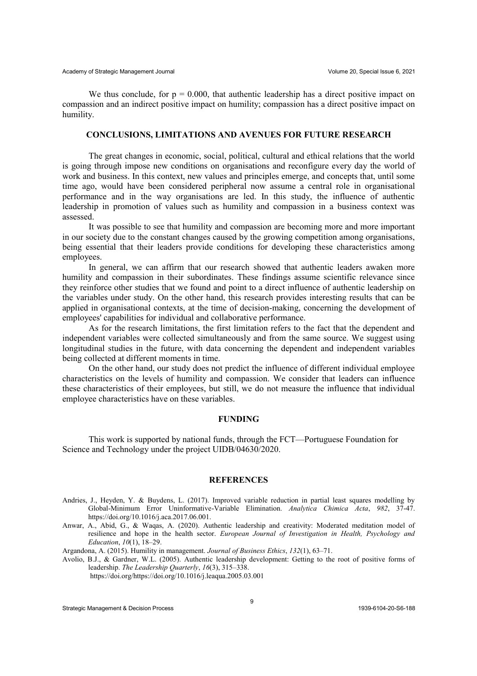We thus conclude, for  $p = 0.000$ , that authentic leadership has a direct positive impact on compassion and an indirect positive impact on humility; compassion has a direct positive impact on humility.

#### **CONCLUSIONS, LIMITATIONS AND AVENUES FOR FUTURE RESEARCH**

The great changes in economic, social, political, cultural and ethical relations that the world is going through impose new conditions on organisations and reconfigure every day the world of work and business. In this context, new values and principles emerge, and concepts that, until some time ago, would have been considered peripheral now assume a central role in organisational performance and in the way organisations are led. In this study, the influence of authentic leadership in promotion of values such as humility and compassion in a business context was assessed.

It was possible to see that humility and compassion are becoming more and more important in our society due to the constant changes caused by the growing competition among organisations, being essential that their leaders provide conditions for developing these characteristics among employees.

In general, we can affirm that our research showed that authentic leaders awaken more humility and compassion in their subordinates. These findings assume scientific relevance since they reinforce other studies that we found and point to a direct influence of authentic leadership on the variables under study. On the other hand, this research provides interesting results that can be applied in organisational contexts, at the time of decision-making, concerning the development of employees' capabilities for individual and collaborative performance.

As for the research limitations, the first limitation refers to the fact that the dependent and independent variables were collected simultaneously and from the same source. We suggest using longitudinal studies in the future, with data concerning the dependent and independent variables being collected at different moments in time.

On the other hand, our study does not predict the influence of different individual employee characteristics on the levels of humility and compassion. We consider that leaders can influence these characteristics of their employees, but still, we do not measure the influence that individual employee characteristics have on these variables.

#### **FUNDING**

This work is supported by national funds, through the FCT—Portuguese Foundation for Science and Technology under the project UIDB/04630/2020.

#### **REFERENCES**

- Andries, J., Heyden, Y. & Buydens, L. (2017). Improved variable reduction in partial least squares modelling by Global-Minimum Error Uninformative-Variable Elimination. *Analytica Chimica Acta*, *982*, 37-47. https://doi.org/10.1016/j.aca.2017.06.001.
- Anwar, A., Abid, G., & Waqas, A. (2020). Authentic leadership and creativity: Moderated meditation model of resilience and hope in the health sector. *European Journal of Investigation in Health, Psychology and Education*,  $10(1)$ , 18-29.

Argandona, A. (2015). Humility in management. *Journal of Business Ethics*, 132(1), 63–71.

Avolio, B.J., & Gardner, W.L. (2005). Authentic leadership development: Getting to the root of positive forms of leadership. *The Leadership Ouarterly*, *16*(3), 315-338.

https://doi.org/https://doi.org/10.1016/j.leaqua.2005.03.001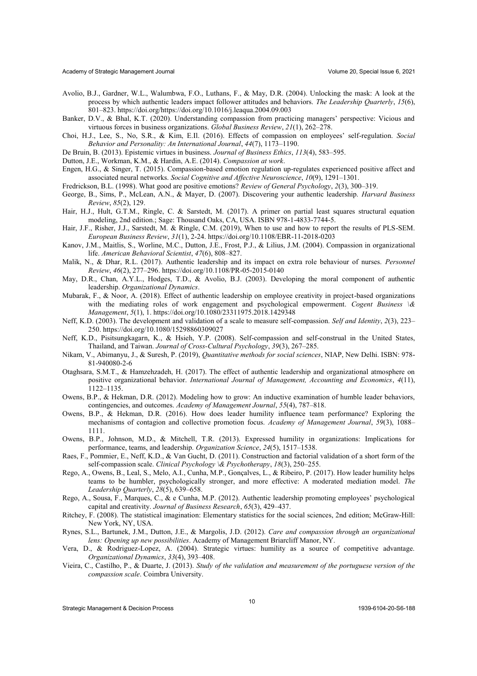- Avolio, B.J., Gardner, W.L., Walumbwa, F.O., Luthans, F., & May, D.R. (2004). Unlocking the mask: A look at the process by which authentic leaders impact follower attitudes and behaviors. *The Leadership Quarterly*, *15*(6), 801±823. https://doi.org/https://doi.org/10.1016/j.leaqua.2004.09.003
- Banker, D.V., & Bhal, K.T. (2020). Understanding compassion from practicing managers' perspective: Vicious and virtuous forces in business organizations. *Global Business Review*, 21(1), 262-278.
- Choi, H.J., Lee, S., No, S.R., & Kim, E.Il. (2016). Effects of compassion on employees' self-regulation. *Social Behavior and Personality: An International Journal, 44(7), 1173-1190.*

De Bruin, B. (2013). Epistemic virtues in business. *Journal of Business Ethics*, 113(4), 583-595.

- Dutton, J.E., Workman, K.M., & Hardin, A.E. (2014). *Compassion at work*.
- Engen, H.G., & Singer, T. (2015). Compassion-based emotion regulation up-regulates experienced positive affect and associated neural networks. *Social Cognitive and Affective Neuroscience*,  $10(9)$ , 1291-1301.
- Fredrickson, B.L. (1998). What good are positive emotions? *Review of General Psychology*, 2(3), 300–319.
- George, B., Sims, P., McLean, A.N., & Mayer, D. (2007). Discovering your authentic leadership. *Harvard Business Review*, *85*(2), 129.
- Hair, H.J., Hult, G.T.M., Ringle, C. & Sarstedt, M. (2017). A primer on partial least squares structural equation modeling, 2nd edition.; Sage: Thousand Oaks, CA, USA. ISBN 978-1-4833-7744-5.
- Hair, J.F., Risher, J.J., Sarstedt, M. & Ringle, C.M. (2019), When to use and how to report the results of PLS-SEM. *European Business Review*, *31*(1), 2-24. https://doi.org/10.1108/EBR-11-2018-0203
- Kanov, J.M., Maitlis, S., Worline, M.C., Dutton, J.E., Frost, P.J., & Lilius, J.M. (2004). Compassion in organizational life. *American Behavioral Scientist*, 47(6), 808-827.
- Malik, N., & Dhar, R.L. (2017). Authentic leadership and its impact on extra role behaviour of nurses. *Personnel Review*, *46*(2), 277±296. https://doi.org/10.1108/PR-05-2015-0140
- May, D.R., Chan, A.Y.L., Hodges, T.D., & Avolio, B.J. (2003). Developing the moral component of authentic leadership. *Organizational Dynamics*.
- Mubarak, F., & Noor, A. (2018). Effect of authentic leadership on employee creativity in project-based organizations with the mediating roles of work engagement and psychological empowerment. *Cogent Business \& Management*, *5*(1), 1. https://doi.org/10.1080/23311975.2018.1429348
- Neff, K.D. (2003). The development and validation of a scale to measure self-compassion. *Self and Identity*, 2(3), 223– 250. https://doi.org/10.1080/15298860309027
- Neff, K.D., Pisitsungkagarn, K., & Hsieh, Y.P. (2008). Self-compassion and self-construal in the United States, Thailand, and Taiwan. *Journal of Cross-Cultural Psychology*, 39(3), 267-285.
- Nikam, V., Abimanyu, J., & Suresh, P. (2019), *Quantitative methods for social sciences*, NIAP, New Delhi. ISBN: 978- 81-940080-2-6
- Otaghsara, S.M.T., & Hamzehzadeh, H. (2017). The effect of authentic leadership and organizational atmosphere on positive organizational behavior. *International Journal of Management, Accounting and Economics*, *4*(11), 1122±1135.
- Owens, B.P., & Hekman, D.R. (2012). Modeling how to grow: An inductive examination of humble leader behaviors, contingencies, and outcomes. *Academy of Management Journal*, 55(4), 787–818.
- Owens, B.P., & Hekman, D.R. (2016). How does leader humility influence team performance? Exploring the mechanisms of contagion and collective promotion focus. *Academy of Management Journal*, 59(3), 1088– 1111.
- Owens, B.P., Johnson, M.D., & Mitchell, T.R. (2013). Expressed humility in organizations: Implications for performance, teams, and leadership. *Organization Science*, 24(5), 1517-1538.
- Raes, F., Pommier, E., Neff, K.D., & Van Gucht, D. (2011). Construction and factorial validation of a short form of the self-compassion scale. *Clinical Psychology \& Psychotherapy*, 18(3), 250-255.
- Rego, A., Owens, B., Leal, S., Melo, A.I., Cunha, M.P., Gonçalves, L., & Ribeiro, P. (2017). How leader humility helps teams to be humbler, psychologically stronger, and more effective: A moderated mediation model. *The Leadership Quarterly*, 28(5), 639-658.
- Rego, A., Sousa, F., Marques, C., & e Cunha, M.P. (2012). Authentic leadership promoting employees' psychological capital and creativity. *Journal of Business Research*,  $65(3)$ , 429-437.
- Ritchey, F. (2008). The statistical imagination: Elementary statistics for the social sciences, 2nd edition; McGraw-Hill: New York, NY, USA.
- Rynes, S.L., Bartunek, J.M., Dutton, J.E., & Margolis, J.D. (2012). *Care and compassion through an organizational lens: Opening up new possibilities*. Academy of Management Briarcliff Manor, NY.
- Vera, D., & Rodriguez-Lopez, A. (2004). Strategic virtues: humility as a source of competitive advantage. *Organizational Dynamics*, 33(4), 393-408.
- Vieira, C., Castilho, P., & Duarte, J. (2013). *Study of the validation and measurement of the portuguese version of the compassion scale*. Coimbra University.

Strategic Management & Decision Process 1939-6104-20-S6-188